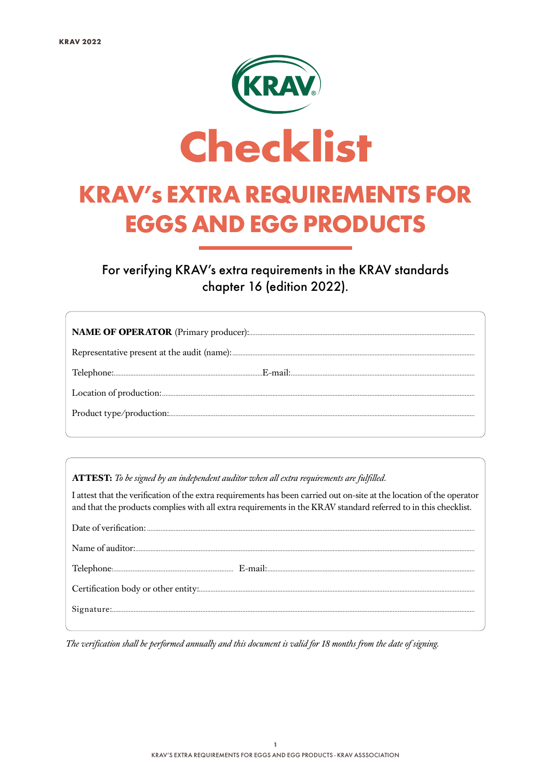

For verifying KRAV's extra requirements in the KRAV standards chapter 16 (edition 2022).

ATTEST: To be signed by an independent auditor when all extra requirements are fulfilled.

I attest that the verification of the extra requirements has been carried out on-site at the location of the operator and that the products complies with all extra requirements in the KRAV standard referred to in this checklist.

The verification shall be performed annually and this document is valid for 18 months from the date of signing.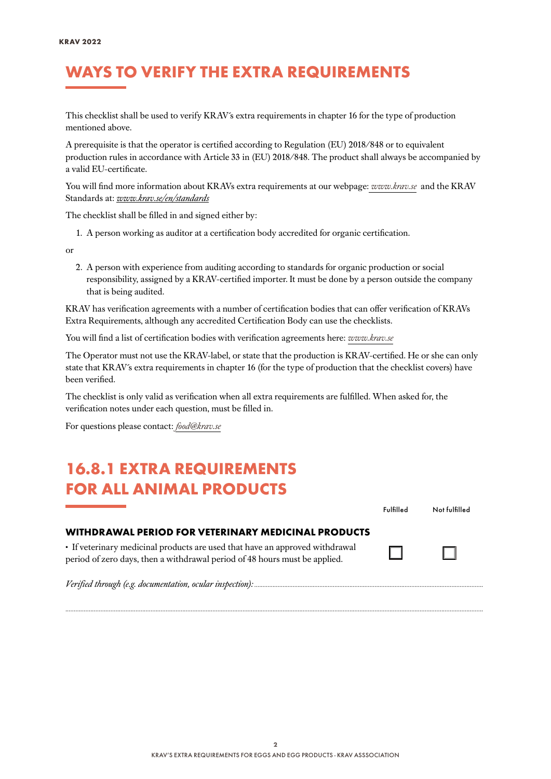#### WAYS TO VERIFY THE EXTRA REQUIREMENTS

This checklist shall be used to verify KRAV´s extra requirements in chapter 16 for the type of production mentioned above.

A prerequisite is that the operator is certified according to Regulation (EU) 2018/848 or to equivalent production rules in accordance with Article 33 in (EU) 2018/848. The product shall always be accompanied by a valid EU-certificate.

You will find more information about KRAVs extra requirements at our webpage: *[www.krav.se](www.krav.se/en/for-companies/extra-requirements-for-all-products/)* and the KRAV Standards at: *[www.krav.se/en/standards](https://www.krav.se/en/standards)*

The checklist shall be filled in and signed either by:

1. A person working as auditor at a certification body accredited for organic certification.

or

2. A person with experience from auditing according to standards for organic production or social responsibility, assigned by a KRAV-certified importer. It must be done by a person outside the company that is being audited.

KRAV has verification agreements with a number of certification bodies that can offer verification of KRAVs Extra Requirements, although any accredited Certification Body can use the checklists.

You will find a list of certification bodies with verification agreements here: *[www.krav.se](https://www.krav.se/en/asset/certification-bodies-with-verification-agreement/)*

The Operator must not use the KRAV-label, or state that the production is KRAV-certified. He or she can only state that KRAV´s extra requirements in chapter 16 (for the type of production that the checklist covers) have been verified.

The checklist is only valid as verification when all extra requirements are fulfilled. When asked for, the verification notes under each question, must be filled in.

For questions please contact: *[food@krav.se](mailto:food%40krav.se?subject=From%20extra%20requirements)*

#### 16.8.1 EXTRA REQUIREMENTS FOR ALL ANIMAL PRODUCTS

| FUR ALL ANIMAL FRUDUCIS                                                                                                                                    |           |               |
|------------------------------------------------------------------------------------------------------------------------------------------------------------|-----------|---------------|
|                                                                                                                                                            | Fulfilled | Not fulfilled |
| WITHDRAWAL PERIOD FOR VETERINARY MEDICINAL PRODUCTS                                                                                                        |           |               |
| • If veterinary medicinal products are used that have an approved withdrawal<br>period of zero days, then a withdrawal period of 48 hours must be applied. |           | $\Box$        |
|                                                                                                                                                            |           |               |

*..........................................................................................................................................................................................................................................................*

*Verified through (e.g. documentation, ocular inspection): .........................................................................................................................................*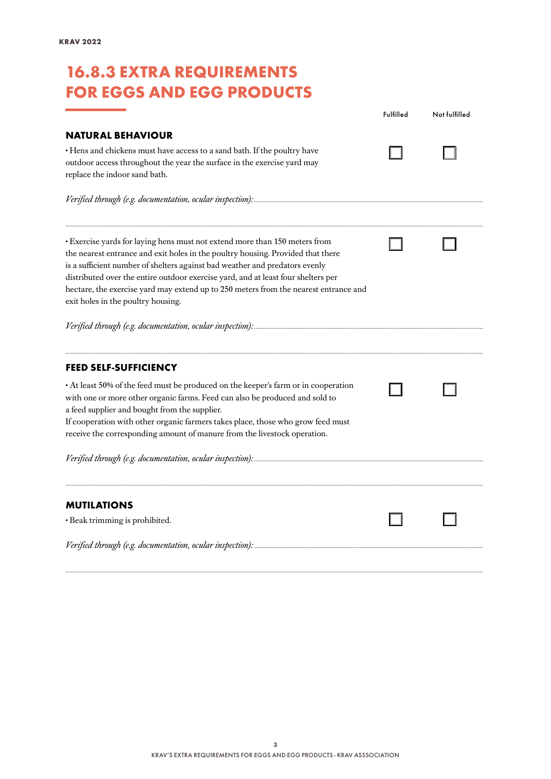### 16.8.3 EXTRA REQUIREMENTS FOR EGGS AND EGG PRODUCTS

|                                                                                                                                                                                                                                                                                                                                                                                                                                                                 | Fulfilled | Not fulfilled |
|-----------------------------------------------------------------------------------------------------------------------------------------------------------------------------------------------------------------------------------------------------------------------------------------------------------------------------------------------------------------------------------------------------------------------------------------------------------------|-----------|---------------|
| <b>NATURAL BEHAVIOUR</b>                                                                                                                                                                                                                                                                                                                                                                                                                                        |           |               |
| · Hens and chickens must have access to a sand bath. If the poultry have<br>outdoor access throughout the year the surface in the exercise yard may<br>replace the indoor sand bath.                                                                                                                                                                                                                                                                            |           |               |
|                                                                                                                                                                                                                                                                                                                                                                                                                                                                 |           |               |
| · Exercise yards for laying hens must not extend more than 150 meters from<br>the nearest entrance and exit holes in the poultry housing. Provided that there<br>is a sufficient number of shelters against bad weather and predators evenly<br>distributed over the entire outdoor exercise yard, and at least four shelters per<br>hectare, the exercise yard may extend up to 250 meters from the nearest entrance and<br>exit holes in the poultry housing. |           |               |
|                                                                                                                                                                                                                                                                                                                                                                                                                                                                 |           |               |
| <b>FEED SELF-SUFFICIENCY</b>                                                                                                                                                                                                                                                                                                                                                                                                                                    |           |               |
| • At least 50% of the feed must be produced on the keeper's farm or in cooperation<br>with one or more other organic farms. Feed can also be produced and sold to<br>a feed supplier and bought from the supplier.<br>If cooperation with other organic farmers takes place, those who grow feed must<br>receive the corresponding amount of manure from the livestock operation.                                                                               |           |               |
|                                                                                                                                                                                                                                                                                                                                                                                                                                                                 |           |               |
|                                                                                                                                                                                                                                                                                                                                                                                                                                                                 |           |               |
| <b>MUTILATIONS</b>                                                                                                                                                                                                                                                                                                                                                                                                                                              |           |               |
| · Beak trimming is prohibited.                                                                                                                                                                                                                                                                                                                                                                                                                                  |           |               |
|                                                                                                                                                                                                                                                                                                                                                                                                                                                                 |           |               |

*..........................................................................................................................................................................................................................................................*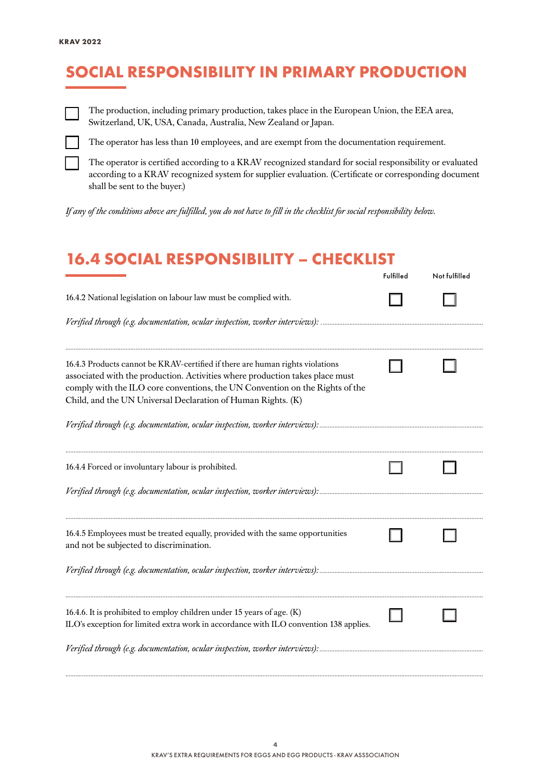# SOCIAL RESPONSIBILITY IN PRIMARY PRODUCTION



The production, including primary production, takes place in the European Union, the EEA area, Switzerland, UK, USA, Canada, Australia, New Zealand or Japan.



The operator has less than 10 employees, and are exempt from the documentation requirement.

The operator is certified according to a KRAV recognized standard for social responsibility or evaluated according to a KRAV recognized system for supplier evaluation. (Certificate or corresponding document shall be sent to the buyer.)

*If any of the conditions above are fulfilled, you do not have to fill in the checklist for social responsibility below.*

#### 16.4 SOCIAL RESPONSIBILITY – CHECKLIST

|                                                                                                                                                                                                                                                                                                               | Fulfilled | Not fulfilled |
|---------------------------------------------------------------------------------------------------------------------------------------------------------------------------------------------------------------------------------------------------------------------------------------------------------------|-----------|---------------|
| 16.4.2 National legislation on labour law must be complied with.                                                                                                                                                                                                                                              |           |               |
|                                                                                                                                                                                                                                                                                                               |           |               |
| 16.4.3 Products cannot be KRAV-certified if there are human rights violations<br>associated with the production. Activities where production takes place must<br>comply with the ILO core conventions, the UN Convention on the Rights of the<br>Child, and the UN Universal Declaration of Human Rights. (K) |           |               |
|                                                                                                                                                                                                                                                                                                               |           |               |
| 16.4.4 Forced or involuntary labour is prohibited.                                                                                                                                                                                                                                                            |           |               |
|                                                                                                                                                                                                                                                                                                               |           |               |
| 16.4.5 Employees must be treated equally, provided with the same opportunities<br>and not be subjected to discrimination.                                                                                                                                                                                     |           |               |
|                                                                                                                                                                                                                                                                                                               |           |               |
| 16.4.6. It is prohibited to employ children under 15 years of age. (K)<br>ILO's exception for limited extra work in accordance with ILO convention 138 applies.                                                                                                                                               |           |               |
| Verified through (e.g. documentation, ocular inspection, worker interviews):                                                                                                                                                                                                                                  |           |               |

*..........................................................................................................................................................................................................................................................*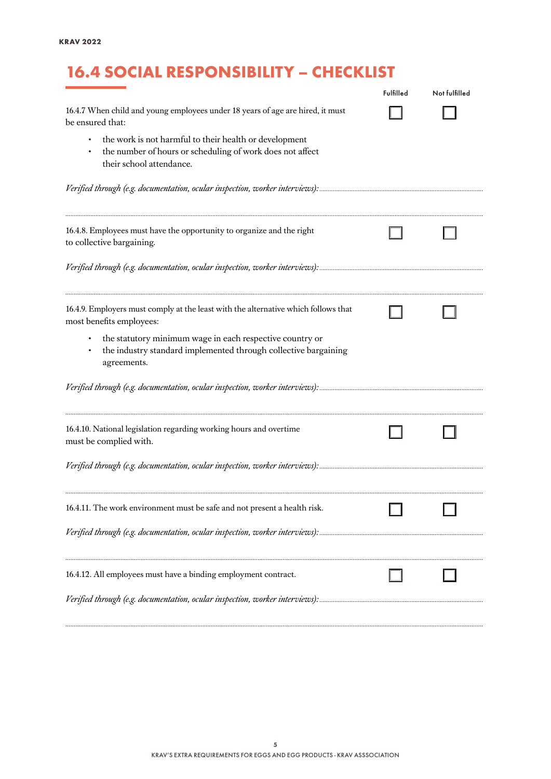# 16.4 SOCIAL RESPONSIBILITY – CHECKLIST

|                                                                                                                                                 | Fulfilled | Not fulfilled |
|-------------------------------------------------------------------------------------------------------------------------------------------------|-----------|---------------|
| 16.4.7 When child and young employees under 18 years of age are hired, it must<br>be ensured that:                                              |           |               |
| the work is not harmful to their health or development<br>the number of hours or scheduling of work does not affect<br>their school attendance. |           |               |
|                                                                                                                                                 |           |               |
| 16.4.8. Employees must have the opportunity to organize and the right<br>to collective bargaining.                                              |           |               |
|                                                                                                                                                 |           |               |
| 16.4.9. Employers must comply at the least with the alternative which follows that<br>most benefits employees:                                  |           |               |
| the statutory minimum wage in each respective country or<br>the industry standard implemented through collective bargaining<br>agreements.      |           |               |
|                                                                                                                                                 |           |               |
| 16.4.10. National legislation regarding working hours and overtime<br>must be complied with.                                                    |           |               |
|                                                                                                                                                 |           |               |
| 16.4.11. The work environment must be safe and not present a health risk.                                                                       |           |               |
|                                                                                                                                                 |           |               |
| 16.4.12. All employees must have a binding employment contract.                                                                                 |           |               |
|                                                                                                                                                 |           |               |

*..........................................................................................................................................................................................................................................................*